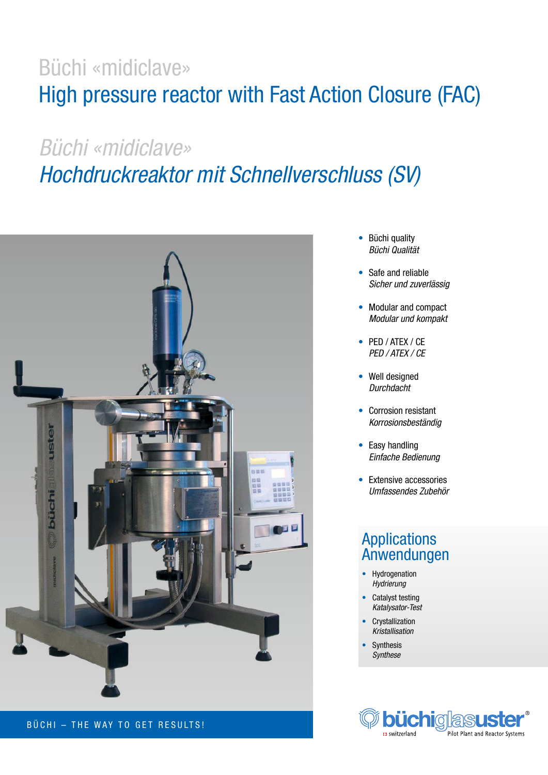## Büchi «midiclave» High pressure reactor with Fast Action Closure (FAC)

# *Büchi «midiclave» Hochdruckreaktor mit Schnellverschluss (SV)*



### BÜCHI – THE WAY TO GET RESULTS!

- Büchi quality *Büchi Qualität*
- Safe and reliable *Sicher und zuverlässig*
- Modular and compact *Modular und kompakt*
- PED / ATEX / CE *PED / ATEX / CE*
- Well designed *Durchdacht*
- Corrosion resistant *Korrosionsbeständig*
- Easy handling *Einfache Bedienung*
- Extensive accessories *Umfassendes Zubehör*

### Applications Anwendungen

- Hydrogenation *Hydrierung*
- Catalyst testing *Katalysator-Test*
- **Crystallization** *Kristallisation*
- **Synthesis** *Synthese*

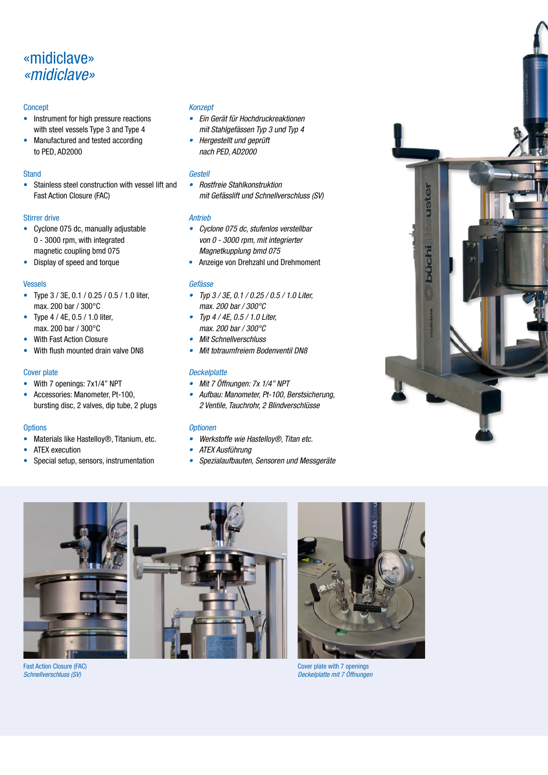## «midiclave» *«midiclave»*

#### **Concept**

- Instrument for high pressure reactions with steel vessels Type 3 and Type 4
- Manufactured and tested according to PED, AD2000

#### **Stand**

• Stainless steel construction with vessel lift and Fast Action Closure (FAC)

#### Stirrer drive

- Cyclone 075 dc, manually adjustable 0 - 3000 rpm, with integrated magnetic coupling bmd 075
- Display of speed and torque

#### Vessels

- Type 3 / 3E, 0.1 / 0.25 / 0.5 / 1.0 liter, max. 200 bar / 300°C
- Type 4 / 4E, 0.5 / 1.0 liter, max. 200 bar / 300°C
- With Fast Action Closure
- With flush mounted drain valve DN8

#### Cover plate

- With 7 openings: 7x1/4" NPT
- Accessories: Manometer, Pt-100, bursting disc, 2 valves, dip tube, 2 plugs

#### **Options**

- Materials like Hastelloy®, Titanium, etc.
- ATEX execution
- Special setup, sensors, instrumentation

#### *Konzept*

- *Ein Gerät für Hochdruckreaktionen mit Stahlgefässen Typ 3 und Typ 4*
- *Hergestellt und geprüft nach PED, AD2000*

#### *Gestell*

*• Rostfreie Stahlkonstruktion mit Gefässlift und Schnellverschluss (SV)*

#### *Antrieb*

- *Cyclone 075 dc, stufenlos verstellbar von 0 - 3000 rpm, mit integrierter Magnetkupplung bmd 075*
- Anzeige von Drehzahl und Drehmoment

#### *Gefässe*

- *Typ 3 / 3E, 0.1 / 0.25 / 0.5 / 1.0 Liter, max. 200 bar / 300°C*
- *Typ 4 / 4E, 0.5 / 1.0 Liter, max. 200 bar / 300°C*
- *Mit Schnellverschluss*
- *Mit totraumfreiem Bodenventil DN8*

#### *Deckelplatte*

- *Mit 7 Öffnungen: 7x 1/4" NPT*
- *Aufbau: Manometer, Pt-100, Berstsicherung, 2 Ventile, Tauchrohr, 2 Blindverschlüsse*

#### *Optionen*

- *Werkstoffe wie Hastelloy®, Titan etc.*
- *ATEX Ausführung*
- *Spezialaufbauten, Sensoren und Messgeräte*









Cover plate with 7 openings *Deckelplatte mit 7 Öffnungen*

Fast Action Closure (FAC) *Schnellverschluss (SV)*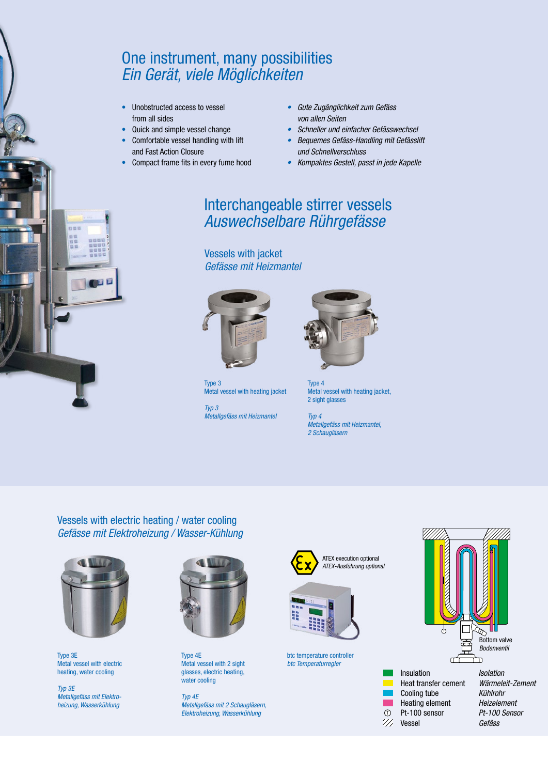### One instrument, many possibilities *Ein Gerät, viele Möglichkeiten*

- Unobstructed access to vessel from all sides
- Quick and simple vessel change
- Comfortable vessel handling with lift and Fast Action Closure
- Compact frame fits in every fume hood
- *Gute Zugänglichkeit zum Gefäss von allen Seiten*
- *Schneller und einfacher Gefässwechsel*
- *Bequemes Gefäss-Handling mit Gefässlift und Schnellverschluss*
- *Kompaktes Gestell, passt in jede Kapelle*

### Interchangeable stirrer vessels *Auswechselbare Rührgefässe*

Vessels with jacket *Gefässe mit Heizmantel*



Type 3 Metal vessel with heating jacket

*Typ 3 Metallgefäss mit Heizmantel*



Type 4 Metal vessel with heating jacket, 2 sight glasses

*Typ 4 Metallgefäss mit Heizmantel, 2 Schaugläsern*

Vessels with electric heating / water cooling *Gefässe mit Elektroheizung / Wasser-Kühlung*



四甲目

Type 3E Metal vessel with electric heating, water cooling

*Typ 3E Metallgefäss mit Elektroheizung, Wasserkühlung* 



Type 4E Metal vessel with 2 sight glasses, electric heating, water cooling

*Typ 4E Metallgefäss mit 2 Schaugläsern, Elektroheizung, Wasserkühlung*



btc temperature controller *btc Temperaturregler*





*Wärmeleit-Zement Kühlrohr Heizelement Pt-100 Sensor Gefäss*